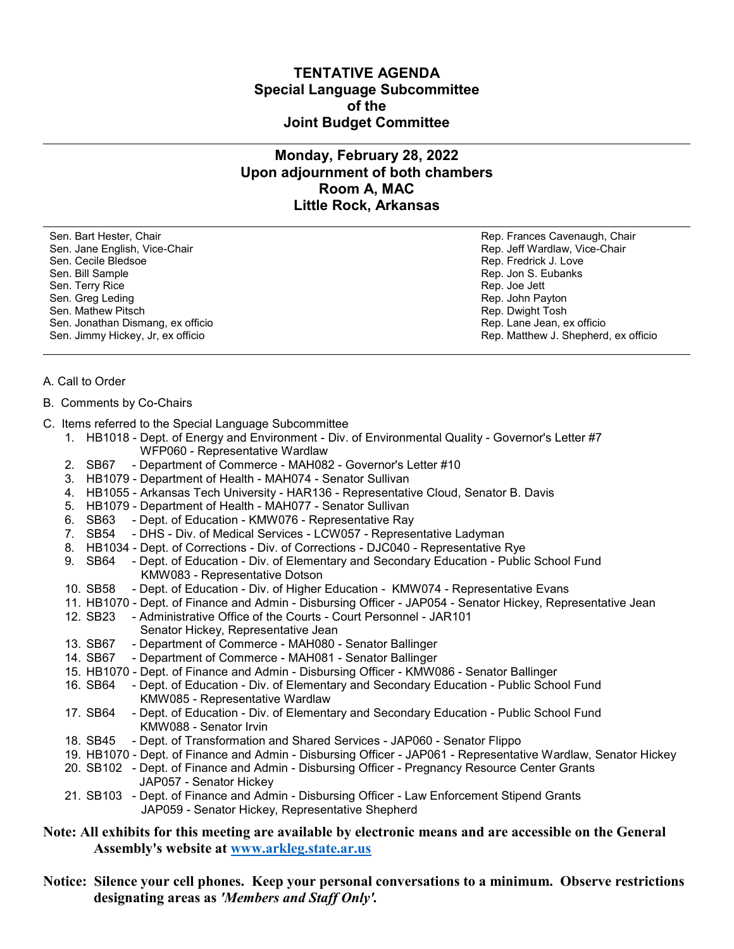## **TENTATIVE AGENDA Special Language Subcommittee of the Joint Budget Committee**

# **Monday, February 28, 2022 Upon adjournment of both chambers Room A, MAC Little Rock, Arkansas**

Sen. Bart Hester, Chair Rep. Frances Cavenaugh, Chair Sen. Jane English, Vice-Chair Rep. Jeff Wardlaw, Vice-Chair Rep. Jeff Wardlaw, Vice-Chair Sen. Cecile Bledsoe **Rep. Fredrick J. Love** Rep. Fredrick J. Love Sen. Bill Sample **Superintendent Sen. Bill Sample Rep. Jon S. Eubanks** Sen. Terry Rice **Rep. 1998** Sen. Terry Rice **Rep. 3** Sen. Greg Leding **Rep. 30 and The United States and Telecom** Rep. John Payton Sen. Mathew Pitsch Rep. Dwight Tosh Rep. Dwight Tosh Rep. Dwight Tosh Rep. Dwight Tosh Sen. Jonathan Dismang, ex officio entre a control de la control de la control de Rep. Lane Jean, ex officio en

Sen. Jimmy Hickey, Jr, ex officio **Rep. Accessorial Rep. Matthew J. Shepherd**, ex officio

### A. Call to Order

#### B. Comments by Co-Chairs

- C. Items referred to the Special Language Subcommittee
	- 1. HB1018 Dept. of Energy and Environment Div. of Environmental Quality Governor's Letter #7 WFP060 - Representative Wardlaw
	- 2. SB67 Department of Commerce MAH082 Governor's Letter #10
	- 3. HB1079 Department of Health MAH074 Senator Sullivan
	- 4. HB1055 Arkansas Tech University HAR136 Representative Cloud, Senator B. Davis
	- 5. HB1079 Department of Health MAH077 Senator Sullivan
	- 6. SB63 Dept. of Education KMW076 Representative Ray
	- 7. SB54 DHS Div. of Medical Services LCW057 Representative Ladyman
	- 8. HB1034 Dept. of Corrections Div. of Corrections DJC040 Representative Rye
	- 9. SB64 Dept. of Education Div. of Elementary and Secondary Education Public School Fund KMW083 - Representative Dotson
	- 10. SB58 Dept. of Education Div. of Higher Education KMW074 Representative Evans
	- 11. HB1070 Dept. of Finance and Admin Disbursing Officer JAP054 Senator Hickey, Representative Jean
	- 12. SB23 Administrative Office of the Courts Court Personnel JAR101 Senator Hickey, Representative Jean
	- 13. SB67 Department of Commerce MAH080 Senator Ballinger
	- 14. SB67 Department of Commerce MAH081 Senator Ballinger
	- 15. HB1070 Dept. of Finance and Admin Disbursing Officer KMW086 Senator Ballinger
	- 16. SB64 Dept. of Education Div. of Elementary and Secondary Education Public School Fund KMW085 - Representative Wardlaw
	- 17. SB64 Dept. of Education Div. of Elementary and Secondary Education Public School Fund KMW088 - Senator Irvin
	- 18. SB45 Dept. of Transformation and Shared Services JAP060 Senator Flippo
	- 19. HB1070 Dept. of Finance and Admin Disbursing Officer JAP061 Representative Wardlaw, Senator Hickey
	- 20. SB102 Dept. of Finance and Admin Disbursing Officer Pregnancy Resource Center Grants JAP057 - Senator Hickey
	- 21. SB103 Dept. of Finance and Admin Disbursing Officer Law Enforcement Stipend Grants JAP059 - Senator Hickey, Representative Shepherd

# **Note: All exhibits for this meeting are available by electronic means and are accessible on the General Assembly's website at [www.arkleg.state.ar.us](http://www.arkleg.state.ar.us)**

**Notice: Silence your cell phones. Keep your personal conversations to a minimum. Observe restrictions designating areas as** *'Members and Staff Only'.*